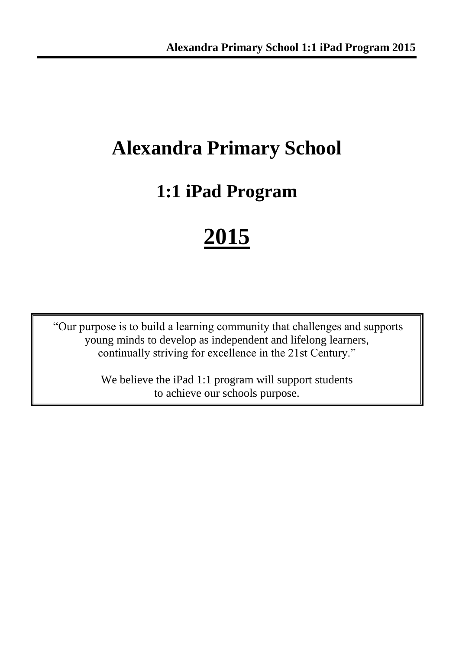# **Alexandra Primary School**

# **1:1 iPad Program**

# **2015**

"Our purpose is to build a learning community that challenges and supports young minds to develop as independent and lifelong learners, continually striving for excellence in the 21st Century."

> We believe the iPad 1:1 program will support students to achieve our schools purpose.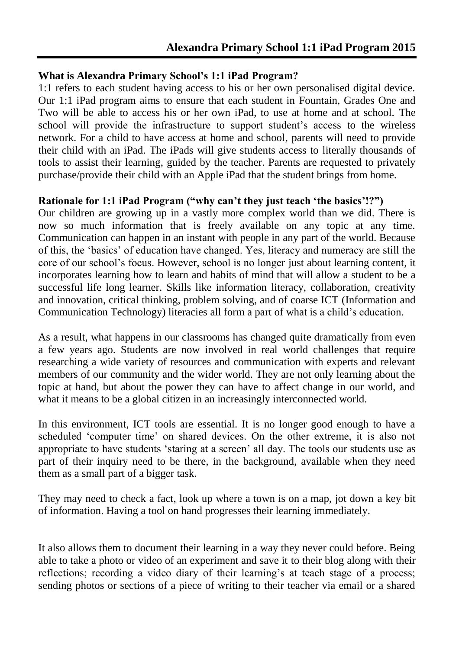#### **What is Alexandra Primary School's 1:1 iPad Program?**

1:1 refers to each student having access to his or her own personalised digital device. Our 1:1 iPad program aims to ensure that each student in Fountain, Grades One and Two will be able to access his or her own iPad, to use at home and at school. The school will provide the infrastructure to support student's access to the wireless network. For a child to have access at home and school, parents will need to provide their child with an iPad. The iPads will give students access to literally thousands of tools to assist their learning, guided by the teacher. Parents are requested to privately purchase/provide their child with an Apple iPad that the student brings from home.

### **Rationale for 1:1 iPad Program ("why can't they just teach 'the basics'!?")**

Our children are growing up in a vastly more complex world than we did. There is now so much information that is freely available on any topic at any time. Communication can happen in an instant with people in any part of the world. Because of this, the 'basics' of education have changed. Yes, literacy and numeracy are still the core of our school's focus. However, school is no longer just about learning content, it incorporates learning how to learn and habits of mind that will allow a student to be a successful life long learner. Skills like information literacy, collaboration, creativity and innovation, critical thinking, problem solving, and of coarse ICT (Information and Communication Technology) literacies all form a part of what is a child's education.

As a result, what happens in our classrooms has changed quite dramatically from even a few years ago. Students are now involved in real world challenges that require researching a wide variety of resources and communication with experts and relevant members of our community and the wider world. They are not only learning about the topic at hand, but about the power they can have to affect change in our world, and what it means to be a global citizen in an increasingly interconnected world.

In this environment, ICT tools are essential. It is no longer good enough to have a scheduled 'computer time' on shared devices. On the other extreme, it is also not appropriate to have students 'staring at a screen' all day. The tools our students use as part of their inquiry need to be there, in the background, available when they need them as a small part of a bigger task.

They may need to check a fact, look up where a town is on a map, jot down a key bit of information. Having a tool on hand progresses their learning immediately.

It also allows them to document their learning in a way they never could before. Being able to take a photo or video of an experiment and save it to their blog along with their reflections; recording a video diary of their learning's at teach stage of a process; sending photos or sections of a piece of writing to their teacher via email or a shared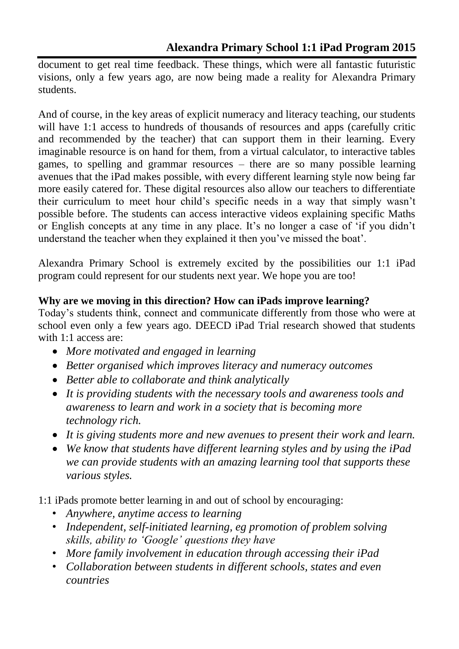document to get real time feedback. These things, which were all fantastic futuristic visions, only a few years ago, are now being made a reality for Alexandra Primary students.

And of course, in the key areas of explicit numeracy and literacy teaching, our students will have 1:1 access to hundreds of thousands of resources and apps (carefully critic and recommended by the teacher) that can support them in their learning. Every imaginable resource is on hand for them, from a virtual calculator, to interactive tables games, to spelling and grammar resources – there are so many possible learning avenues that the iPad makes possible, with every different learning style now being far more easily catered for. These digital resources also allow our teachers to differentiate their curriculum to meet hour child's specific needs in a way that simply wasn't possible before. The students can access interactive videos explaining specific Maths or English concepts at any time in any place. It's no longer a case of 'if you didn't understand the teacher when they explained it then you've missed the boat'.

Alexandra Primary School is extremely excited by the possibilities our 1:1 iPad program could represent for our students next year. We hope you are too!

# **Why are we moving in this direction? How can iPads improve learning?**

Today's students think, connect and communicate differently from those who were at school even only a few years ago. DEECD iPad Trial research showed that students with 1:1 access are:

- *More motivated and engaged in learning*
- *Better organised which improves literacy and numeracy outcomes*
- *Better able to collaborate and think analytically*
- *It is providing students with the necessary tools and awareness tools and awareness to learn and work in a society that is becoming more technology rich.*
- *It is giving students more and new avenues to present their work and learn.*
- *We know that students have different learning styles and by using the iPad we can provide students with an amazing learning tool that supports these various styles.*

1:1 iPads promote better learning in and out of school by encouraging:

- *Anywhere, anytime access to learning*
- *Independent, self-initiated learning, eg promotion of problem solving skills, ability to 'Google' questions they have*
- *More family involvement in education through accessing their iPad*
- *Collaboration between students in different schools, states and even countries*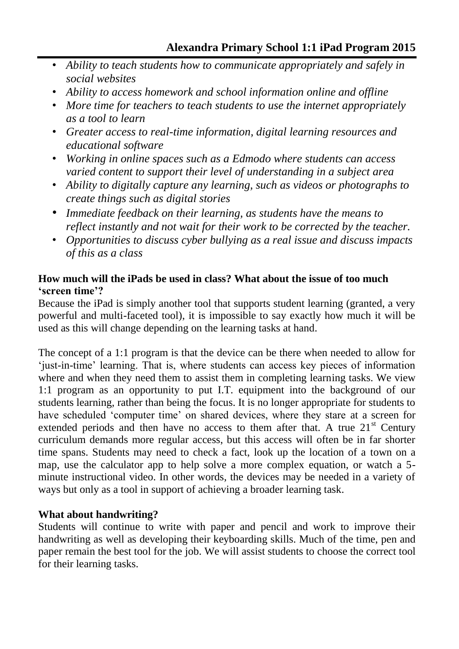- *Ability to teach students how to communicate appropriately and safely in social websites*
- *Ability to access homework and school information online and offline*
- *More time for teachers to teach students to use the internet appropriately as a tool to learn*
- *Greater access to real-time information, digital learning resources and educational software*
- *Working in online spaces such as a Edmodo where students can access varied content to support their level of understanding in a subject area*
- *Ability to digitally capture any learning, such as videos or photographs to create things such as digital stories*
- *Immediate feedback on their learning, as students have the means to reflect instantly and not wait for their work to be corrected by the teacher.*
- *Opportunities to discuss cyber bullying as a real issue and discuss impacts of this as a class*

## **How much will the iPads be used in class? What about the issue of too much 'screen time'?**

Because the iPad is simply another tool that supports student learning (granted, a very powerful and multi-faceted tool), it is impossible to say exactly how much it will be used as this will change depending on the learning tasks at hand.

The concept of a 1:1 program is that the device can be there when needed to allow for 'just-in-time' learning. That is, where students can access key pieces of information where and when they need them to assist them in completing learning tasks. We view 1:1 program as an opportunity to put I.T. equipment into the background of our students learning, rather than being the focus. It is no longer appropriate for students to have scheduled 'computer time' on shared devices, where they stare at a screen for extended periods and then have no access to them after that. A true  $21<sup>st</sup>$  Century curriculum demands more regular access, but this access will often be in far shorter time spans. Students may need to check a fact, look up the location of a town on a map, use the calculator app to help solve a more complex equation, or watch a 5 minute instructional video. In other words, the devices may be needed in a variety of ways but only as a tool in support of achieving a broader learning task.

# **What about handwriting?**

Students will continue to write with paper and pencil and work to improve their handwriting as well as developing their keyboarding skills. Much of the time, pen and paper remain the best tool for the job. We will assist students to choose the correct tool for their learning tasks.